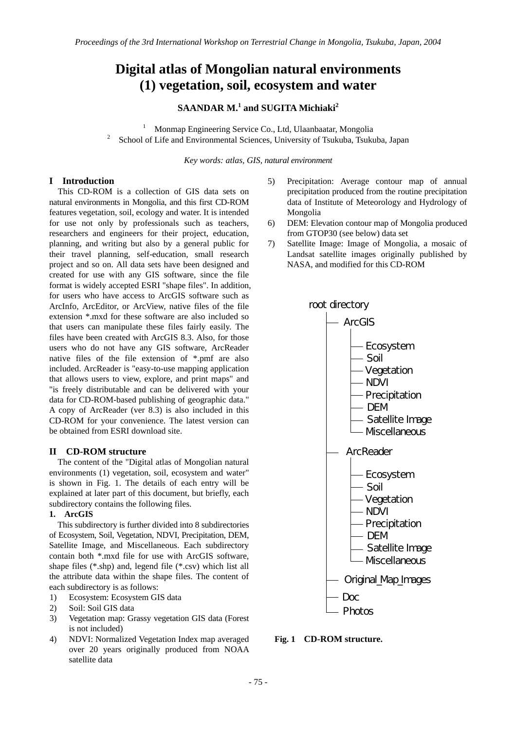# **Digital atlas of Mongolian natural environments (1) vegetation, soil, ecosystem and water**

# **SAANDAR M.<sup>1</sup> and SUGITA Michiaki<sup>2</sup>**

1 <sup>1</sup> Monmap Engineering Service Co., Ltd, Ulaanbaatar, Mongolia <sup>2</sup> School of Life and Environmental Sciences, University of Tsukuba, Tsukuba, Japan

*Key words: atlas, GIS, natural environment* 

## **I Introduction**

This CD-ROM is a collection of GIS data sets on natural environments in Mongolia, and this first CD-ROM features vegetation, soil, ecology and water. It is intended for use not only by professionals such as teachers, researchers and engineers for their project, education, planning, and writing but also by a general public for their travel planning, self-education, small research project and so on. All data sets have been designed and created for use with any GIS software, since the file format is widely accepted ESRI "shape files". In addition, for users who have access to ArcGIS software such as ArcInfo, ArcEditor, or ArcView, native files of the file extension \*.mxd for these software are also included so that users can manipulate these files fairly easily. The files have been created with ArcGIS 8.3. Also, for those users who do not have any GIS software, ArcReader native files of the file extension of \*.pmf are also included. ArcReader is "easy-to-use mapping application that allows users to view, explore, and print maps" and "is freely distributable and can be delivered with your data for CD-ROM-based publishing of geographic data." A copy of ArcReader (ver 8.3) is also included in this CD-ROM for your convenience. The latest version can be obtained from ESRI download site.

#### **II CD-ROM structure**

The content of the "Digital atlas of Mongolian natural environments (1) vegetation, soil, ecosystem and water" is shown in Fig. 1. The details of each entry will be explained at later part of this document, but briefly, each subdirectory contains the following files.

#### **1. ArcGIS**

This subdirectory is further divided into 8 subdirectories of Ecosystem, Soil, Vegetation, NDVI, Precipitation, DEM, Satellite Image, and Miscellaneous. Each subdirectory contain both \*.mxd file for use with ArcGIS software, shape files (\*.shp) and, legend file (\*.csv) which list all the attribute data within the shape files. The content of each subdirectory is as follows:

- 1) Ecosystem: Ecosystem GIS data
- 2) Soil: Soil GIS data
- 3) Vegetation map: Grassy vegetation GIS data (Forest is not included)
- 4) NDVI: Normalized Vegetation Index map averaged over 20 years originally produced from NOAA satellite data
- 5) Precipitation: Average contour map of annual precipitation produced from the routine precipitation data of Institute of Meteorology and Hydrology of Mongolia
- 6) DEM: Elevation contour map of Mongolia produced from GTOP30 (see below) data set
- 7) Satellite Image: Image of Mongolia, a mosaic of Landsat satellite images originally published by NASA, and modified for this CD-ROM



**Fig. 1 CD-ROM structure.**